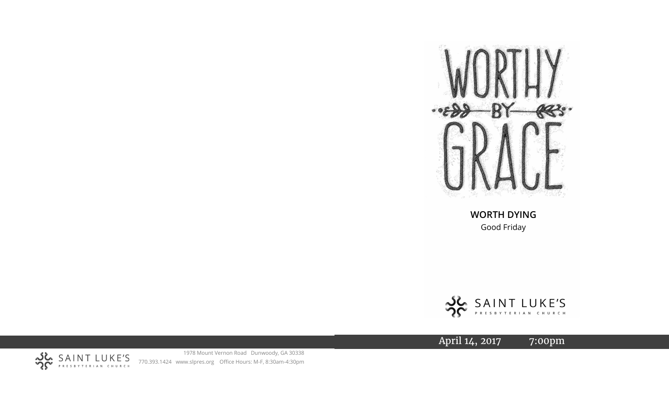

**WORTH DYING** Good Friday



# April 14, 2017 7:00pm



1978 Mount Vernon Road Dunwoody, GA 30338 770.393.1424 www.slpres.org Office Hours: M-F, 8:30am-4:30pm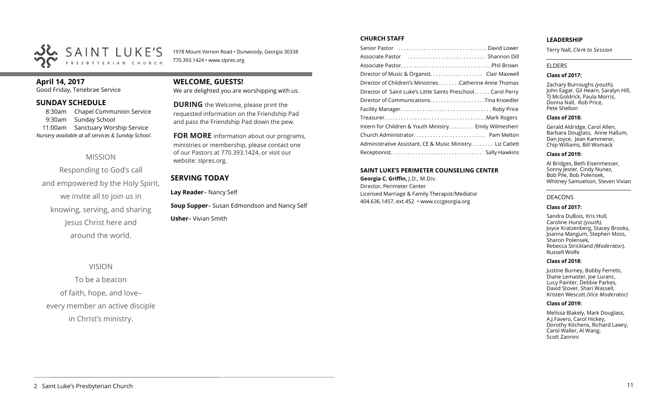

1978 Mount Vernon Road • Dunwoody, Georgia 30338 770.393.1424 • www.slpres.org

We are delighted you are worshipping with us.

**FOR MORE** information about our programs, ministries or membership, please contact one of our Pastors at 770.393.1424, or visit our

**Soup Supper**– Susan Edmondson and Nancy Self

**DURING** the Welcome, please print the requested information on the Friendship Pad and pass the Friendship Pad down the pew.

**WELCOME, GUESTS!** 

website: slpres.org.

**SERVING TODAY**

**Usher**– Vivian Smith

**Lay Reader**– Nancy Self

### **April 14, 2017**

Good Friday, Tenebrae Service

### **SUNDAY SCHEDULE**

8:30am Chapel Communion Service 9:30am Sunday School 11:00am Sanctuary Worship Service *Nursery available at all services & Sunday School.* 

## MISSION

Responding to God's call and empowered by the Holy Spirit, we invite all to join us in knowing, serving, and sharing Jesus Christ here and around the world.

### VISION

To be a beacon of faith, hope, and love– every member an active disciple in Christ's ministry.

### **CHURCH STAFF**

| Associate Pastor (assessment contained a series and a series contained a Shannon Dill |
|---------------------------------------------------------------------------------------|
|                                                                                       |
| Director of Music & Organist. Clair Maxwell                                           |
| Director of Children's MinistriesCatherine Anne Thomas                                |
| Director of Saint Luke's Little Saints Preschool. Carol Perry                         |
|                                                                                       |
|                                                                                       |
|                                                                                       |
| Intern for Children & Youth Ministry Emily Wilmesherr                                 |
|                                                                                       |
| Administrative Assistant, CE & Music Ministry. Liz Catlett                            |
|                                                                                       |

### **SAINT LUKE'S PERIMETER COUNSELING CENTER**

**Georgia C. Griffin,** J.D., M.Div. Director, Perimeter Center Licensed Marriage & Family Therapist/Mediator 404.636.1457, ext.452 • www.cccgeorgia.org

### **LEADERSHIP**

Terry Nall, *Clerk to Session*

### ELDERS

### **Class of 2017:**

Zachary Burroughs *(youth),*  John Eagar, Gil Hearn, Saralyn Hill, TJ McGoldrick, Paula Morris, Donna Nall, Rob Price, Pete Shelton

*\_\_\_\_\_\_\_\_\_\_\_\_\_\_\_\_\_\_\_\_\_\_\_\_\_\_\_\_\_\_\_\_\_\_\_\_\_\_\_\_\_*

### **Class of 2018:**

Gerald Aldridge, Carol Allen, Barbara Douglass, Anne Hallum, Dan Joyce, Jean Kammerer, Chip Williams, Bill Womack

### **Class of 2019:**

Al Bridges, Beth Eisenmesser, Sonny Jester, Cindy Nunez, Bob Pile, Bob Polensek, Whitney Samuelson, Steven Vivian

*\_\_\_\_\_\_\_\_\_\_\_\_\_\_\_\_\_\_\_\_\_\_\_\_\_\_\_\_\_\_\_\_\_\_\_\_\_*

### DEACONS

### **Class of 2017:**

Sandra DuBois, Kris Hull, Caroline Hurst *(youth),* Joyce Kratzenberg, Stacey Brooks, Joanna Mangum, Stephen Moss, Sharon Polensek, Rebecca Strickland *(Moderator),*  Russell Wolfe

### **Class of 2018:**

Justine Burney, Bobby Ferretti, Diane Lemaster, Joe Luranc, Lucy Painter, Debbie Parkes, David Stover, Shari Wassell, Kristen Wescott *(Vice Moderator)*

### **Class of 2019:**

Melissa Blakely, Mark Douglass, A.J.Favero, Carol Hickey, Dorothy Kitchens, Richard Lawry, Carol Waller, Al Wang, Scott Zannini

### 2 Saint Luke's Presbyterian Church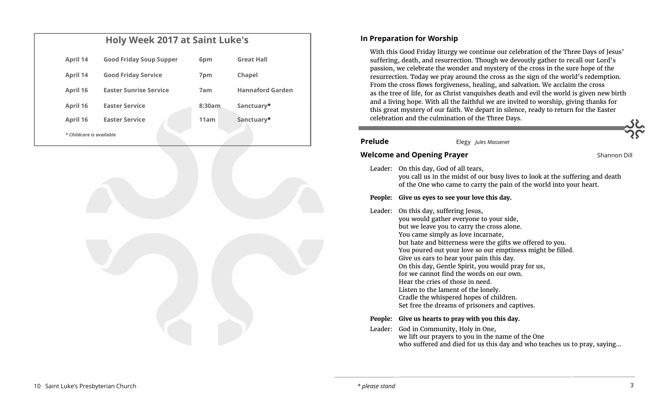| <b>Holy Week 2017 at Saint Luke's</b> |                                |        |                         |  |  |
|---------------------------------------|--------------------------------|--------|-------------------------|--|--|
| April 14                              | <b>Good Friday Soup Supper</b> | 6pm    | <b>Great Hall</b>       |  |  |
| April 14                              | <b>Good Friday Service</b>     | 7pm    | Chapel                  |  |  |
| April 16                              | <b>Easter Sunrise Service</b>  | 7am    | <b>Hannaford Garden</b> |  |  |
| April 16                              | <b>Easter Service</b>          | 8:30am | Sanctuary*              |  |  |
| April 16                              | <b>Easter Service</b>          | 11am   | Sanctuary <sup>*</sup>  |  |  |
| * Childcare is available              |                                |        |                         |  |  |
|                                       |                                |        |                         |  |  |



# **In Preparation for Worship**

t

With this Good Friday liturgy we continue our celebration of the Three Days of Jesus' suffering, death, and resurrection. Though we devoutly gather to recall our Lord's passion, we celebrate the wonder and mystery of the cross in the sure hope of the resurrection. Today we pray around the cross as the sign of the world's redemption. From the cross flows forgiveness, healing, and salvation. We acclaim the cross as the tree of life, for as Christ vanquishes death and evil the world is given new birth and a living hope. With all the faithful we are invited to worship, giving thanks for this great mystery of our faith. We depart in silence, ready to return for the Easter celebration and the culmination of the Three Days.

# **Prelude** Elegy *Jules Massenet* **Welcome and Opening Prayer <b>Shannon Dill** Shannon Dill Leader: On this day, God of all tears, you call us in the midst of our busy lives to look at the suffering and death of the One who came to carry the pain of the world into your heart. **People: Give us eyes to see your love this day.**  Leader: On this day, suffering Jesus, you would gather everyone to your side, but we leave you to carry the cross alone. You came simply as love incarnate, but hate and bitterness were the gifts we offered to you. You poured out your love so our emptiness might be filled. Give us ears to hear your pain this day. On this day, Gentle Spirit, you would pray for us, for we cannot find the words on our own. Hear the cries of those in need. Listen to the lament of the lonely. Cradle the whispered hopes of children. Set free the dreams of prisoners and captives.

## **People: Give us hearts to pray with you this day.**

Leader: God in Community, Holy in One, we lift our prayers to you in the name of the One who suffered and died for us this day and who teaches us to pray, saying...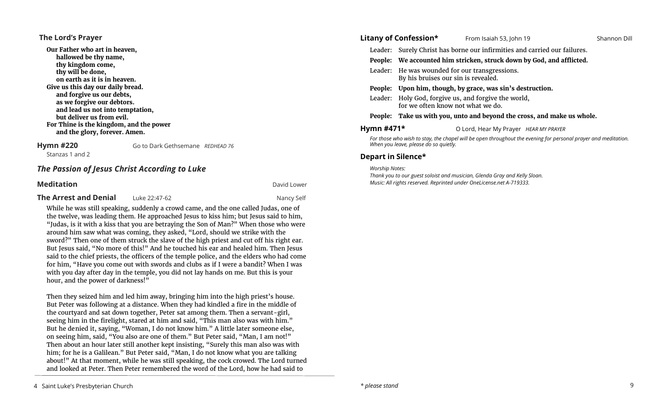# **The Lord's Prayer**

**Our Father who art in heaven, hallowed be thy name, thy kingdom come, thy will be done, on earth as it is in heaven. Give us this day our daily bread. and forgive us our debts, as we forgive our debtors. and lead us not into temptation, but deliver us from evil. For Thine is the kingdom, and the power and the glory, forever. Amen.**

**Hymn #220** Go to Dark Gethsemane *REDHEAD 76*

Stanzas 1 and 2

# *The Passion of Jesus Christ According to Luke*

### **Meditation David Lower Structure 2016 David Lower Structure 2016 David Lower** David Lower

### **The Arrest and Denial** Luke 22:47-62 Nancy Self

While he was still speaking, suddenly a crowd came, and the one called Judas, one of the twelve, was leading them. He approached Jesus to kiss him; but Jesus said to him, "Judas, is it with a kiss that you are betraying the Son of Man?" When those who were around him saw what was coming, they asked, "Lord, should we strike with the sword?" Then one of them struck the slave of the high priest and cut off his right ear. But Jesus said, "No more of this!" And he touched his ear and healed him. Then Jesus said to the chief priests, the officers of the temple police, and the elders who had come for him, "Have you come out with swords and clubs as if I were a bandit? When I was with you day after day in the temple, you did not lay hands on me. But this is your hour, and the power of darkness!"

Then they seized him and led him away, bringing him into the high priest's house. But Peter was following at a distance. When they had kindled a fire in the middle of the courtyard and sat down together, Peter sat among them. Then a servant-girl, seeing him in the firelight, stared at him and said, "This man also was with him." But he denied it, saying, "Woman, I do not know him." A little later someone else, on seeing him, said, "You also are one of them." But Peter said, "Man, I am not!" Then about an hour later still another kept insisting, "Surely this man also was with him; for he is a Galilean." But Peter said, "Man, I do not know what you are talking about!" At that moment, while he was still speaking, the cock crowed. The Lord turned and looked at Peter. Then Peter remembered the word of the Lord, how he had said to

|                                                                         | Litany of Confession*<br>From Isaiah 53, John 19                                          | Shannon Dill |  |  |  |
|-------------------------------------------------------------------------|-------------------------------------------------------------------------------------------|--------------|--|--|--|
|                                                                         | Leader: Surely Christ has borne our infirmities and carried our failures.                 |              |  |  |  |
|                                                                         | People: We accounted him stricken, struck down by God, and afflicted.                     |              |  |  |  |
|                                                                         | Leader: He was wounded for our transgressions.<br>By his bruises our sin is revealed.     |              |  |  |  |
|                                                                         | People: Upon him, though, by grace, was sin's destruction.                                |              |  |  |  |
|                                                                         | Leader: Holy God, forgive us, and forgive the world,<br>for we often know not what we do. |              |  |  |  |
| People: Take us with you, unto and beyond the cross, and make us whole. |                                                                                           |              |  |  |  |
| Hymn $#471*$<br>O Lord, Hear My Prayer HEAR MY PRAYER                   |                                                                                           |              |  |  |  |
|                                                                         |                                                                                           |              |  |  |  |

For those who wish to stay, the chapel will be open throughout the evening for personal prayer and meditation. *When you leave, please do so quietly.* 

## **Depart in Silence\***

*Worship Notes:* 

*Thank you to our guest soloist and musician, Glenda Gray and Kelly Sloan. Music: All rights reserved. Reprinted under OneLicense.net A-719333.*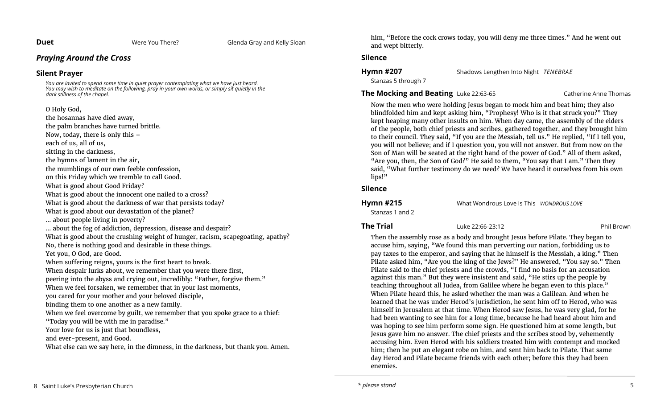**Duet** Mere You There? Glenda Gray and Kelly Sloan

# *Praying Around the Cross*

# **Silent Prayer**

*You are invited to spend some time in quiet prayer contemplating what we have just heard. You may wish to meditate on the following, pray in your own words, or simply sit quietly in the dark stillness of the chapel.* 

O Holy God, the hosannas have died away, the palm branches have turned brittle. Now, today, there is only this – each of us, all of us, sitting in the darkness, the hymns of lament in the air, the mumblings of our own feeble confession, on this Friday which we tremble to call Good. What is good about Good Friday? What is good about the innocent one nailed to a cross? What is good about the darkness of war that persists today? What is good about our devastation of the planet? … about people living in poverty? … about the fog of addiction, depression, disease and despair? What is good about the crushing weight of hunger, racism, scapegoating, apathy? No, there is nothing good and desirable in these things. Yet you, O God, are Good. When suffering reigns, yours is the first heart to break. When despair lurks about, we remember that you were there first, peering into the abyss and crying out, incredibly: "Father, forgive them." When we feel forsaken, we remember that in your last moments, you cared for your mother and your beloved disciple, binding them to one another as a new family. When we feel overcome by guilt, we remember that you spoke grace to a thief: "Today you will be with me in paradise." Your love for us is just that boundless, and ever-present, and Good. What else can we say here, in the dimness, in the darkness, but thank you. Amen. him, "Before the cock crows today, you will deny me three times." And he went out and wept bitterly.

# **Silence**

Stanzas 5 through 7

**Hymn #207** Shadows Lengthen Into Night *TENEBRAE* 

# **The Mocking and Beating** Luke 22:63-65 Catherine Anne Thomas

Now the men who were holding Jesus began to mock him and beat him; they also blindfolded him and kept asking him, "Prophesy! Who is it that struck you?" They kept heaping many other insults on him. When day came, the assembly of the elders of the people, both chief priests and scribes, gathered together, and they brought him to their council. They said, "If you are the Messiah, tell us." He replied, "If I tell you, you will not believe; and if I question you, you will not answer. But from now on the Son of Man will be seated at the right hand of the power of God." All of them asked, "Are you, then, the Son of God?" He said to them, "You say that I am." Then they said, "What further testimony do we need? We have heard it ourselves from his own lips!"

# **Silence**

**Hymn #215** What Wondrous Love Is This *WONDROUS LOVE* 

Stanzas 1 and 2

**The Trial Example 21:08-23:12 Phil Brown** 

Then the assembly rose as a body and brought Jesus before Pilate. They began to accuse him, saying, "We found this man perverting our nation, forbidding us to pay taxes to the emperor, and saying that he himself is the Messiah, a king." Then Pilate asked him, "Are you the king of the Jews?" He answered, "You say so." Then Pilate said to the chief priests and the crowds, "I find no basis for an accusation against this man." But they were insistent and said, "He stirs up the people by teaching throughout all Judea, from Galilee where he began even to this place." When Pilate heard this, he asked whether the man was a Galilean. And when he learned that he was under Herod's jurisdiction, he sent him off to Herod, who was himself in Jerusalem at that time. When Herod saw Jesus, he was very glad, for he had been wanting to see him for a long time, because he had heard about him and was hoping to see him perform some sign. He questioned him at some length, but Jesus gave him no answer. The chief priests and the scribes stood by, vehemently accusing him. Even Herod with his soldiers treated him with contempt and mocked him; then he put an elegant robe on him, and sent him back to Pilate. That same day Herod and Pilate became friends with each other; before this they had been enemies.